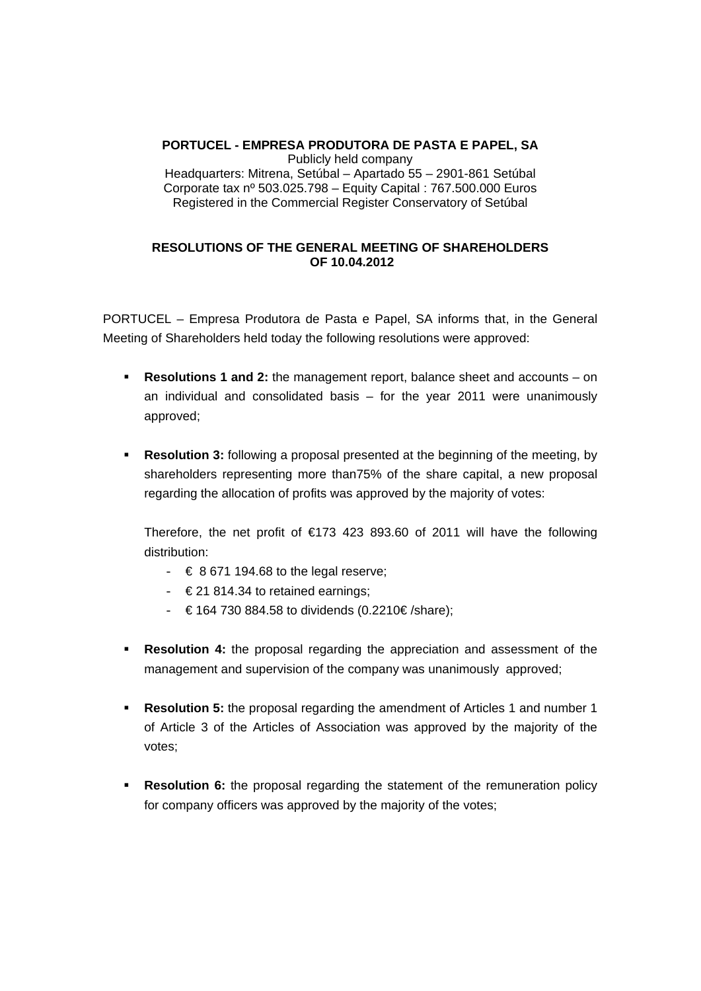## **PORTUCEL - EMPRESA PRODUTORA DE PASTA E PAPEL, SA**  Publicly held company Headquarters: Mitrena, Setúbal – Apartado 55 – 2901-861 Setúbal Corporate tax nº 503.025.798 – Equity Capital : 767.500.000 Euros Registered in the Commercial Register Conservatory of Setúbal

## **RESOLUTIONS OF THE GENERAL MEETING OF SHAREHOLDERS OF 10.04.2012**

PORTUCEL – Empresa Produtora de Pasta e Papel, SA informs that, in the General Meeting of Shareholders held today the following resolutions were approved:

- **Resolutions 1 and 2:** the management report, balance sheet and accounts on an individual and consolidated basis – for the year 2011 were unanimously approved;
- **Resolution 3:** following a proposal presented at the beginning of the meeting, by shareholders representing more than75% of the share capital, a new proposal regarding the allocation of profits was approved by the majority of votes:

 Therefore, the net profit of €173 423 893.60 of 2011 will have the following distribution:

- $\in 8671194.68$  to the legal reserve;
- $\in$  21 814.34 to retained earnings;
- $-$  € 164 730 884.58 to dividends (0.2210€/share);
- **Resolution 4:** the proposal regarding the appreciation and assessment of the management and supervision of the company was unanimously approved;
- **Resolution 5:** the proposal regarding the amendment of Articles 1 and number 1 of Article 3 of the Articles of Association was approved by the majority of the votes;
- **Resolution 6:** the proposal regarding the statement of the remuneration policy for company officers was approved by the majority of the votes;